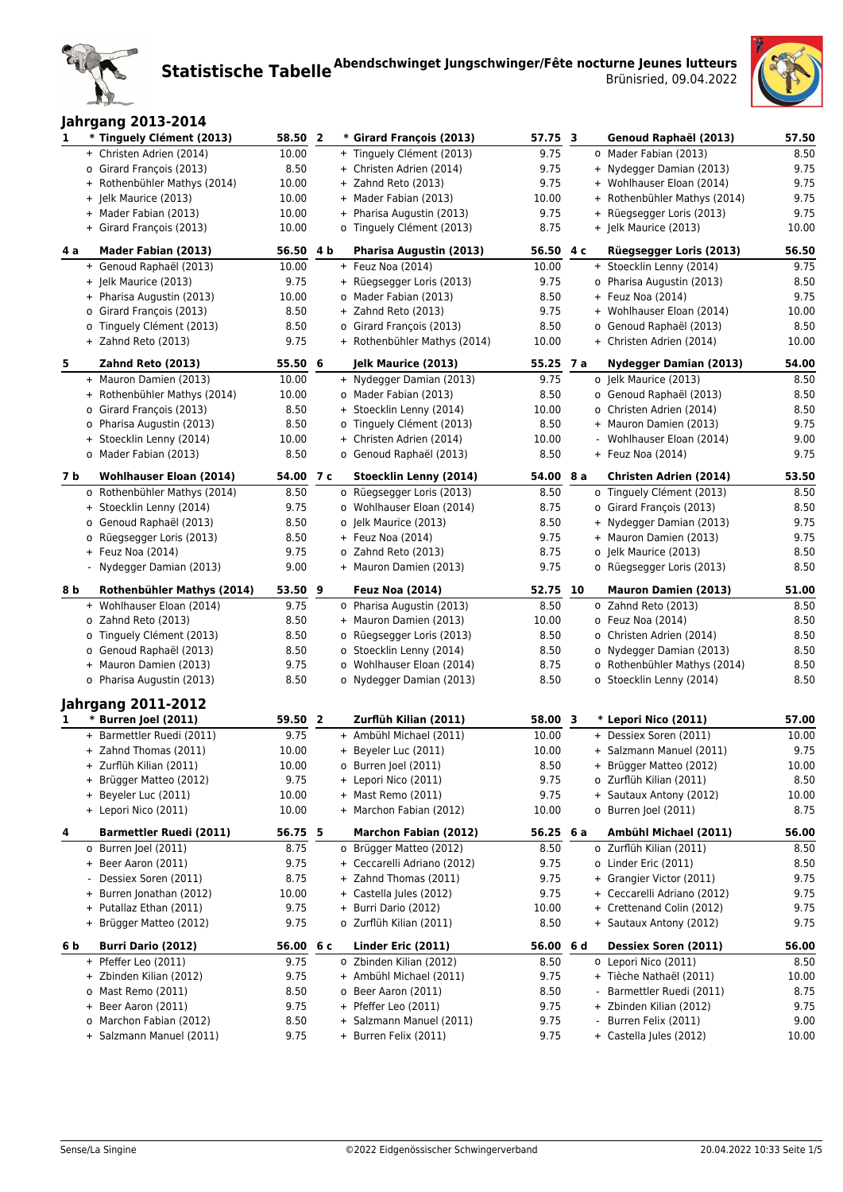

| <b>Jahrgang 2013-2014</b> |  |
|---------------------------|--|
|                           |  |

| 1   | * Tinguely Clément (2013)                         | 58.50        | $\overline{2}$ | * Girard François (2013)                         | 57.75 3      |     | Genoud Raphaël (2013)                          | 57.50        |
|-----|---------------------------------------------------|--------------|----------------|--------------------------------------------------|--------------|-----|------------------------------------------------|--------------|
|     | + Christen Adrien (2014)                          | 10.00        |                | + Tinguely Clément (2013)                        | 9.75         |     | o Mader Fabian (2013)                          | 8.50         |
|     | o Girard François (2013)                          | 8.50         |                | + Christen Adrien (2014)                         | 9.75         |     | + Nydegger Damian (2013)                       | 9.75         |
|     | + Rothenbühler Mathys (2014)                      | 10.00        |                | + Zahnd Reto (2013)                              | 9.75         |     | + Wohlhauser Eloan (2014)                      | 9.75         |
|     | + Jelk Maurice (2013)                             | 10.00        |                | + Mader Fabian (2013)                            | 10.00        |     | + Rothenbühler Mathys (2014)                   | 9.75         |
|     | + Mader Fabian (2013)                             | 10.00        |                | + Pharisa Augustin (2013)                        | 9.75         |     | + Rüegsegger Loris (2013)                      | 9.75         |
|     | + Girard François (2013)                          | 10.00        |                | o Tinguely Clément (2013)                        | 8.75         |     | + Jelk Maurice (2013)                          | 10.00        |
|     |                                                   |              |                |                                                  |              |     |                                                |              |
| 4 a | Mader Fabian (2013)                               | 56.50 4 b    |                | Pharisa Augustin (2013)                          | 56.50        | 4 c | Rüegsegger Loris (2013)                        | 56.50        |
|     | + Genoud Raphaël (2013)                           | 10.00        |                | $+$ Feuz Noa (2014)                              | 10.00        |     | + Stoecklin Lenny (2014)                       | 9.75         |
|     | + Jelk Maurice (2013)                             | 9.75         |                | + Rüegsegger Loris (2013)                        | 9.75         |     | o Pharisa Augustin (2013)                      | 8.50         |
|     | + Pharisa Augustin (2013)                         | 10.00        |                | o Mader Fabian (2013)                            | 8.50         |     | + Feuz Noa (2014)                              | 9.75         |
|     | o Girard François (2013)                          | 8.50         |                | + Zahnd Reto (2013)                              | 9.75         |     | + Wohlhauser Eloan (2014)                      | 10.00        |
|     | o Tinguely Clément (2013)                         | 8.50         |                | o Girard François (2013)                         | 8.50         |     | o Genoud Raphaël (2013)                        | 8.50         |
|     | + Zahnd Reto (2013)                               | 9.75         |                | + Rothenbühler Mathys (2014)                     | 10.00        |     | + Christen Adrien (2014)                       | 10.00        |
| 5   | Zahnd Reto (2013)                                 | 55.50 6      |                | Jelk Maurice (2013)                              | 55.25 7 a    |     | <b>Nydegger Damian (2013)</b>                  | 54.00        |
|     | + Mauron Damien (2013)                            | 10.00        |                | + Nydegger Damian (2013)                         | 9.75         |     | o Jelk Maurice (2013)                          | 8.50         |
|     | + Rothenbühler Mathys (2014)                      | 10.00        |                | o Mader Fabian (2013)                            | 8.50         |     | o Genoud Raphaël (2013)                        | 8.50         |
|     | o Girard François (2013)                          | 8.50         |                | + Stoecklin Lenny (2014)                         | 10.00        |     | o Christen Adrien (2014)                       | 8.50         |
|     | o Pharisa Augustin (2013)                         | 8.50         |                | o Tinguely Clément (2013)                        | 8.50         |     | + Mauron Damien (2013)                         | 9.75         |
|     |                                                   | 10.00        |                | + Christen Adrien (2014)                         | 10.00        |     |                                                | 9.00         |
|     | + Stoecklin Lenny (2014)<br>o Mader Fabian (2013) | 8.50         |                |                                                  | 8.50         |     | - Wohlhauser Eloan (2014)<br>+ Feuz Noa (2014) | 9.75         |
|     |                                                   |              |                | o Genoud Raphaël (2013)                          |              |     |                                                |              |
| 7 b | <b>Wohlhauser Eloan (2014)</b>                    | 54.00        | 7 c            | Stoecklin Lenny (2014)                           | 54.00        | 8 a | Christen Adrien (2014)                         | 53.50        |
|     | o Rothenbühler Mathys (2014)                      | 8.50         |                | o Rüegsegger Loris (2013)                        | 8.50         |     | o Tinguely Clément (2013)                      | 8.50         |
|     | + Stoecklin Lenny (2014)                          | 9.75         |                | o Wohlhauser Eloan (2014)                        | 8.75         |     | o Girard François (2013)                       | 8.50         |
|     | o Genoud Raphaël (2013)                           | 8.50         |                | o Jelk Maurice (2013)                            | 8.50         |     | + Nydegger Damian (2013)                       | 9.75         |
|     | o Rüegsegger Loris (2013)                         | 8.50         |                | + Feuz Noa (2014)                                | 9.75         |     | + Mauron Damien (2013)                         | 9.75         |
|     | + Feuz Noa (2014)                                 | 9.75         |                | o Zahnd Reto (2013)                              | 8.75         |     | o Jelk Maurice (2013)                          | 8.50         |
|     | - Nydegger Damian (2013)                          | 9.00         |                | + Mauron Damien (2013)                           | 9.75         |     | o Rüegsegger Loris (2013)                      | 8.50         |
| 8 b | <b>Rothenbühler Mathys (2014)</b>                 | 53.50 9      |                | <b>Feuz Noa (2014)</b>                           | 52.75        | 10  | <b>Mauron Damien (2013)</b>                    | 51.00        |
|     | + Wohlhauser Eloan (2014)                         | 9.75         |                | o Pharisa Augustin (2013)                        | 8.50         |     | o Zahnd Reto (2013)                            | 8.50         |
|     | o Zahnd Reto (2013)                               | 8.50         |                | + Mauron Damien (2013)                           | 10.00        |     | o Feuz Noa (2014)                              | 8.50         |
|     | o Tinguely Clément (2013)                         | 8.50         |                | o Rüegsegger Loris (2013)                        | 8.50         |     | o Christen Adrien (2014)                       | 8.50         |
|     | o Genoud Raphaël (2013)                           | 8.50         |                | o Stoecklin Lenny (2014)                         | 8.50         |     | o Nydegger Damian (2013)                       | 8.50         |
|     | + Mauron Damien (2013)                            | 9.75         |                | o Wohlhauser Eloan (2014)                        | 8.75         |     | o Rothenbühler Mathys (2014)                   | 8.50         |
|     | o Pharisa Augustin (2013)                         | 8.50         |                | o Nydegger Damian (2013)                         | 8.50         |     | o Stoecklin Lenny (2014)                       | 8.50         |
|     |                                                   |              |                |                                                  |              |     |                                                |              |
|     | <b>Jahrgang 2011-2012</b>                         |              |                |                                                  |              |     |                                                |              |
| 1   | * Burren Joel (2011)                              | 59.50 2      |                | Zurflüh Kilian (2011)                            | 58.00 3      |     | * Lepori Nico (2011)                           | 57.00        |
|     | + Barmettler Ruedi (2011)                         | 9.75         |                | + Ambühl Michael (2011)                          | 10.00        |     | + Dessiex Soren (2011)                         | 10.00        |
|     | + Zahnd Thomas (2011)                             | 10.00        |                | + Beyeler Luc (2011)                             | 10.00        |     | + Salzmann Manuel (2011)                       | 9.75         |
|     | + Zurflüh Kilian (2011)                           | 10.00        |                | o Burren Joel (2011)                             | 8.50         |     | + Brügger Matteo (2012)                        | 10.00        |
|     | + Brügger Matteo (2012)                           | 9.75         |                | + Lepori Nico (2011)                             | 9.75         |     | o Zurflüh Kilian (2011)                        | 8.50         |
|     | + Beyeler Luc (2011)                              | 10.00        |                | + Mast Remo (2011)                               | 9.75         |     | + Sautaux Antony (2012)                        | 10.00        |
|     | + Lepori Nico (2011)                              | 10.00        |                | + Marchon Fabian (2012)                          | 10.00        |     | o Burren Joel (2011)                           | 8.75         |
| 4   | <b>Barmettler Ruedi (2011)</b>                    | 56.75 5      |                | Marchon Fabian (2012)                            | 56.25        | 6а  | Ambühl Michael (2011)                          | 56.00        |
|     | o Burren Joel (2011)                              | 8.75         |                | o Brügger Matteo (2012)                          | 8.50         |     | o Zurflüh Kilian (2011)                        | 8.50         |
|     | + Beer Aaron (2011)                               | 9.75         |                | + Ceccarelli Adriano (2012)                      | 9.75         |     | o Linder Eric (2011)                           | 8.50         |
|     | Dessiex Soren (2011)                              | 8.75         |                | + Zahnd Thomas (2011)                            | 9.75         |     | + Grangier Victor (2011)                       | 9.75         |
|     | + Burren Jonathan (2012)                          | 10.00        |                | + Castella Jules (2012)                          | 9.75         |     | + Ceccarelli Adriano (2012)                    | 9.75         |
|     | + Putallaz Ethan (2011)                           | 9.75         |                | + Burri Dario (2012)                             | 10.00        |     | + Crettenand Colin (2012)                      | 9.75         |
|     | + Brügger Matteo (2012)                           | 9.75         |                | o Zurflüh Kilian (2011)                          | 8.50         |     | + Sautaux Antony (2012)                        | 9.75         |
| 6 b | Burri Dario (2012)                                | 56.00 6 c    |                | Linder Eric (2011)                               | 56.00        | 6 d | Dessiex Soren (2011)                           | 56.00        |
|     | + Pfeffer Leo (2011)                              | 9.75         |                | o Zbinden Kilian (2012)                          | 8.50         |     | o Lepori Nico (2011)                           | 8.50         |
|     |                                                   |              |                |                                                  |              |     |                                                |              |
|     | + Zbinden Kilian (2012)                           | 9.75         |                | + Ambühl Michael (2011)                          | 9.75         |     | + Tièche Nathaël (2011)                        |              |
|     | o Mast Remo (2011)                                |              |                |                                                  |              |     | Barmettler Ruedi (2011)                        | 10.00        |
|     | + Beer Aaron (2011)                               | 8.50<br>9.75 |                | o Beer Aaron (2011)                              | 8.50         |     |                                                | 8.75         |
|     | o Marchon Fabian (2012)                           | 8.50         |                | + Pfeffer Leo (2011)<br>+ Salzmann Manuel (2011) | 9.75<br>9.75 |     | + Zbinden Kilian (2012)<br>Burren Felix (2011) | 9.75<br>9.00 |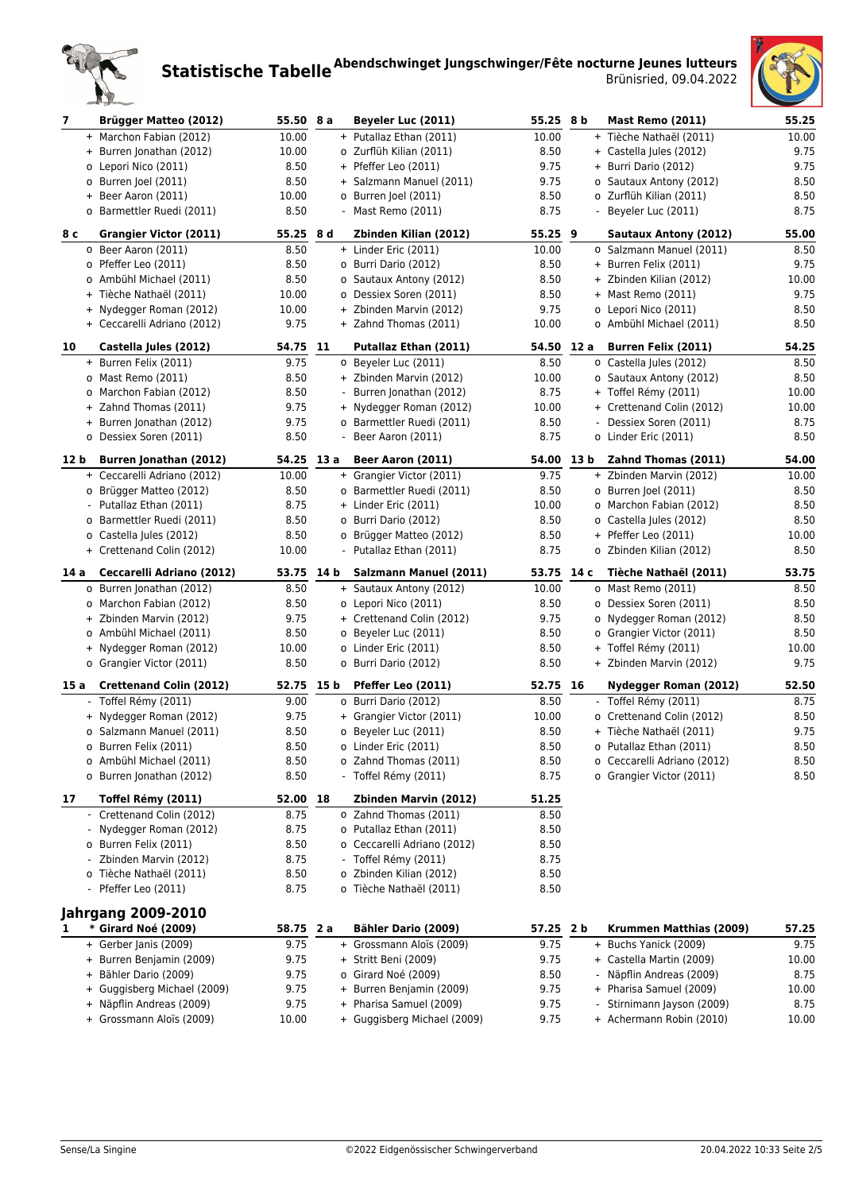



| 7    | <b>Brügger Matteo (2012)</b>                         | 55.50 8 a     |      | Beyeler Luc (2011)                                     | 55.25 8 b    |      | <b>Mast Remo (2011)</b>                              | 55.25         |
|------|------------------------------------------------------|---------------|------|--------------------------------------------------------|--------------|------|------------------------------------------------------|---------------|
|      | + Marchon Fabian (2012)                              | 10.00         |      | + Putallaz Ethan (2011)                                | 10.00        |      | + Tièche Nathaël (2011)                              | 10.00         |
|      | + Burren Jonathan (2012)                             | 10.00         |      | o Zurflüh Kilian (2011)                                | 8.50         |      | + Castella Jules (2012)                              | 9.75          |
|      | o Lepori Nico (2011)                                 | 8.50          |      | + Pfeffer Leo (2011)                                   | 9.75         |      | + Burri Dario (2012)                                 | 9.75          |
|      | o Burren Joel (2011)                                 | 8.50          |      | + Salzmann Manuel (2011)                               | 9.75         |      | o Sautaux Antony (2012)                              | 8.50          |
|      | + Beer Aaron (2011)                                  | 10.00         |      | o Burren Joel (2011)                                   | 8.50         |      | o Zurflüh Kilian (2011)                              | 8.50          |
|      | o Barmettler Ruedi (2011)                            | 8.50          |      | - Mast Remo (2011)                                     | 8.75         |      | - Beyeler Luc (2011)                                 | 8.75          |
| 8 с  | Grangier Victor (2011)                               | 55.25         | 8 d  | Zbinden Kilian (2012)                                  | 55.25 9      |      | <b>Sautaux Antony (2012)</b>                         | 55.00         |
|      | o Beer Aaron (2011)                                  | 8.50          |      | + Linder Eric (2011)                                   | 10.00        |      | o Salzmann Manuel (2011)                             | 8.50          |
|      | o Pfeffer Leo (2011)                                 | 8.50          |      | o Burri Dario (2012)                                   | 8.50         |      | + Burren Felix (2011)                                | 9.75          |
|      | o Ambühl Michael (2011)                              | 8.50          |      | o Sautaux Antony (2012)                                | 8.50         |      | + Zbinden Kilian (2012)                              | 10.00         |
|      | + Tièche Nathaël (2011)                              | 10.00         |      | o Dessiex Soren (2011)                                 | 8.50         |      | + Mast Remo (2011)                                   | 9.75          |
|      | + Nydegger Roman (2012)                              | 10.00         |      | + Zbinden Marvin (2012)                                | 9.75         |      | o Lepori Nico (2011)                                 | 8.50          |
|      | + Ceccarelli Adriano (2012)                          | 9.75          |      | + Zahnd Thomas (2011)                                  | 10.00        |      | o Ambühl Michael (2011)                              | 8.50          |
|      |                                                      |               |      |                                                        |              |      |                                                      |               |
| 10   | Castella Jules (2012)                                | 54.75         | 11   | Putallaz Ethan (2011)                                  | 54.50        | 12 a | <b>Burren Felix (2011)</b>                           | 54.25         |
|      | + Burren Felix (2011)                                | 9.75          |      | o Beyeler Luc (2011)                                   | 8.50         |      | o Castella Jules (2012)                              | 8.50          |
|      | o Mast Remo (2011)                                   | 8.50          |      | + Zbinden Marvin (2012)                                | 10.00        |      | o Sautaux Antony (2012)                              | 8.50          |
|      | o Marchon Fabian (2012)                              | 8.50          |      | - Burren Jonathan (2012)                               | 8.75         |      | + Toffel Rémy (2011)                                 | 10.00         |
|      | + Zahnd Thomas (2011)                                | 9.75          |      | + Nydegger Roman (2012)                                | 10.00        |      | + Crettenand Colin (2012)                            | 10.00         |
|      | + Burren Jonathan (2012)                             | 9.75          |      | o Barmettler Ruedi (2011)                              | 8.50         |      | Dessiex Soren (2011)                                 | 8.75          |
|      | o Dessiex Soren (2011)                               | 8.50          |      | - Beer Aaron (2011)                                    | 8.75         |      | o Linder Eric (2011)                                 | 8.50          |
| 12 b | Burren Jonathan (2012)                               | 54.25 13 a    |      | Beer Aaron (2011)                                      | 54.00 13 b   |      | Zahnd Thomas (2011)                                  | 54.00         |
|      | + Ceccarelli Adriano (2012)                          | 10.00         |      | + Grangier Victor (2011)                               | 9.75         |      | + Zbinden Marvin (2012)                              | 10.00         |
|      | o Brügger Matteo (2012)                              | 8.50          |      | o Barmettler Ruedi (2011)                              | 8.50         |      | o Burren Joel (2011)                                 | 8.50          |
|      | - Putallaz Ethan (2011)                              | 8.75          |      | + Linder Eric (2011)                                   | 10.00        |      | o Marchon Fabian (2012)                              | 8.50          |
|      | o Barmettler Ruedi (2011)                            | 8.50          |      | o Burri Dario (2012)                                   | 8.50         |      | o Castella Jules (2012)                              | 8.50          |
|      | o Castella Jules (2012)                              | 8.50          |      | o Brügger Matteo (2012)                                | 8.50         |      | + Pfeffer Leo (2011)                                 | 10.00         |
|      | + Crettenand Colin (2012)                            | 10.00         |      | - Putallaz Ethan (2011)                                | 8.75         |      | o Zbinden Kilian (2012)                              | 8.50          |
| 14 a | Ceccarelli Adriano (2012)                            | 53.75         | 14 b | Salzmann Manuel (2011)                                 | 53.75 14 c   |      | Tièche Nathaël (2011)                                | 53.75         |
|      |                                                      |               |      |                                                        |              |      |                                                      |               |
|      | o Burren Jonathan (2012)                             | 8.50          |      | + Sautaux Antony (2012)                                | 10.00        |      | o Mast Remo (2011)                                   | 8.50          |
|      | o Marchon Fabian (2012)                              | 8.50          |      | o Lepori Nico (2011)                                   | 8.50         |      | o Dessiex Soren (2011)                               | 8.50          |
|      | + Zbinden Marvin (2012)                              | 9.75          |      | + Crettenand Colin (2012)                              | 9.75         |      | o Nydegger Roman (2012)                              | 8.50          |
|      | o Ambühl Michael (2011)                              | 8.50          |      | o Beyeler Luc (2011)                                   | 8.50         |      | o Grangier Victor (2011)                             | 8.50          |
|      | + Nydegger Roman (2012)                              | 10.00         |      | o Linder Eric (2011)                                   | 8.50         |      | + Toffel Rémy (2011)                                 | 10.00         |
|      | o Grangier Victor (2011)                             | 8.50          |      | o Burri Dario (2012)                                   | 8.50         |      | + Zbinden Marvin (2012)                              | 9.75          |
|      | 15 a Crettenand Colin (2012)                         | 52.75         | 15 b | Pfeffer Leo (2011)                                     | 52.75 16     |      | Nydegger Roman (2012)                                | 52.50         |
|      | - Toffel Rémy (2011)                                 | 9.00          |      | o Burri Dario (2012)                                   | 8.50         |      | - Toffel Rémy (2011)                                 | 8.75          |
|      | + Nydegger Roman (2012)                              | 9.75          |      | + Grangier Victor (2011)                               | 10.00        |      | o Crettenand Colin (2012)                            | 8.50          |
|      | o Salzmann Manuel (2011)                             | 8.50          |      | o Beyeler Luc (2011)                                   | 8.50         |      | + Tièche Nathaël (2011)                              | 9.75          |
|      | o Burren Felix (2011)                                | 8.50          |      | o Linder Eric (2011)                                   | 8.50         |      | o Putallaz Ethan (2011)                              | 8.50          |
|      | o Ambühl Michael (2011)                              | 8.50          |      | o Zahnd Thomas (2011)                                  | 8.50         |      | o Ceccarelli Adriano (2012)                          | 8.50          |
|      | o Burren Jonathan (2012)                             | 8.50          |      | - Toffel Rémy (2011)                                   | 8.75         |      | o Grangier Victor (2011)                             | 8.50          |
| 17   | Toffel Rémy (2011)                                   | 52.00 18      |      | Zbinden Marvin (2012)                                  | 51.25        |      |                                                      |               |
|      | - Crettenand Colin (2012)                            | 8.75          |      | o Zahnd Thomas (2011)                                  | 8.50         |      |                                                      |               |
|      | - Nydegger Roman (2012)                              | 8.75          |      | o Putallaz Ethan (2011)                                | 8.50         |      |                                                      |               |
|      | o Burren Felix (2011)                                | 8.50          |      | o Ceccarelli Adriano (2012)                            | 8.50         |      |                                                      |               |
|      | - Zbinden Marvin (2012)                              | 8.75          |      | - Toffel Rémy (2011)                                   | 8.75         |      |                                                      |               |
|      | o Tièche Nathaël (2011)                              | 8.50          |      | o Zbinden Kilian (2012)                                | 8.50         |      |                                                      |               |
|      | - Pfeffer Leo (2011)                                 | 8.75          |      | o Tièche Nathaël (2011)                                | 8.50         |      |                                                      |               |
|      | <b>Jahrgang 2009-2010</b>                            |               |      |                                                        |              |      |                                                      |               |
| 1    | * Girard Noé (2009)                                  | 58.75 2 a     |      | Bähler Dario (2009)                                    | 57.25 2 b    |      | Krummen Matthias (2009)                              | 57.25         |
|      | + Gerber Janis (2009)                                | 9.75          |      | + Grossmann Aloïs (2009)                               | 9.75         |      | + Buchs Yanick (2009)                                | 9.75          |
|      | + Burren Benjamin (2009)                             | 9.75          |      | + Stritt Beni (2009)                                   | 9.75         |      | + Castella Martin (2009)                             | 10.00         |
|      | + Bähler Dario (2009)                                | 9.75          |      | o Girard Noé (2009)                                    | 8.50         |      | Näpflin Andreas (2009)                               | 8.75          |
|      | + Guggisberg Michael (2009)                          | 9.75          |      | + Burren Benjamin (2009)                               | 9.75         |      | + Pharisa Samuel (2009)                              | 10.00         |
|      | + Näpflin Andreas (2009)<br>+ Grossmann Aloïs (2009) | 9.75<br>10.00 |      | + Pharisa Samuel (2009)<br>+ Guggisberg Michael (2009) | 9.75<br>9.75 |      | Stirnimann Jayson (2009)<br>+ Achermann Robin (2010) | 8.75<br>10.00 |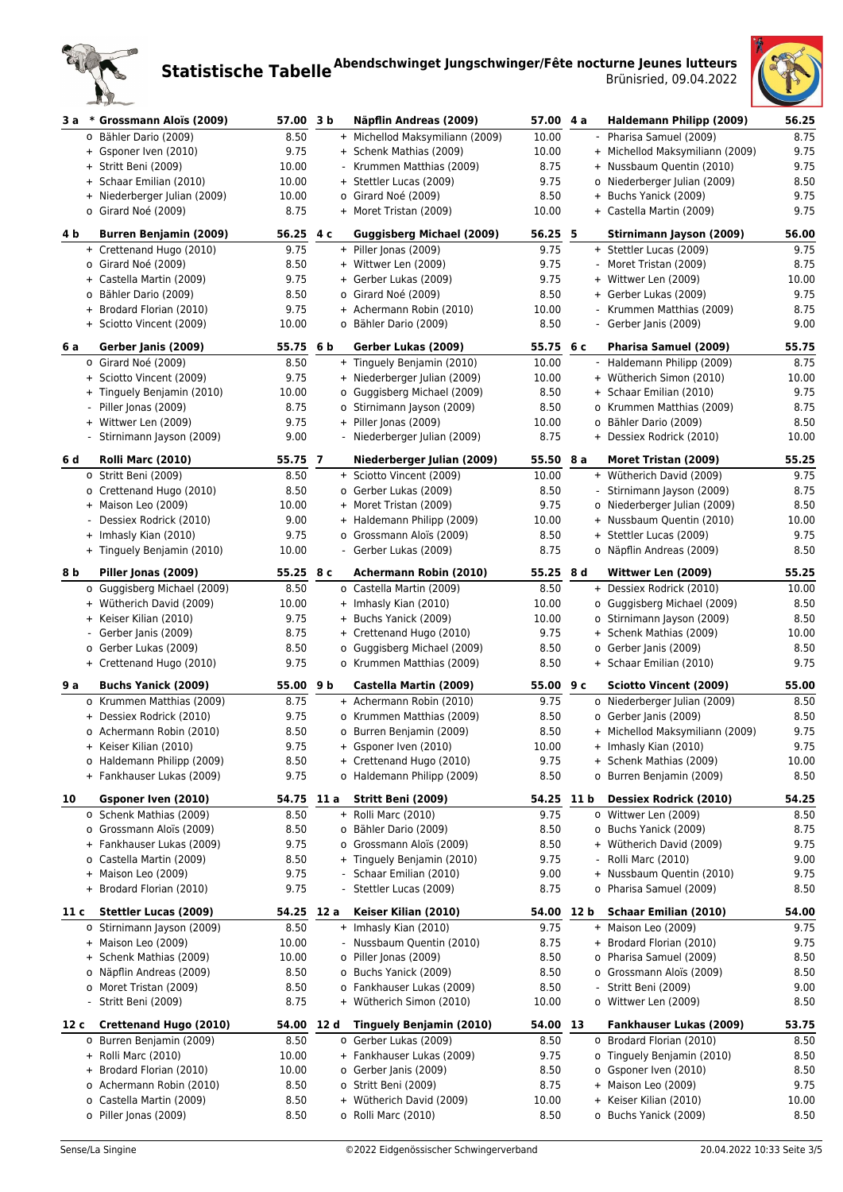



| 3 a                      | * Grossmann Aloïs (2009)                           | 57.00 3 b          |     | Näpflin Andreas (2009)                                   | 57.00            | 4а   | Haldemann Philipp (2009)                            | 56.25         |
|--------------------------|----------------------------------------------------|--------------------|-----|----------------------------------------------------------|------------------|------|-----------------------------------------------------|---------------|
|                          | o Bähler Dario (2009)                              | 8.50               |     | + Michellod Maksymiliann (2009)                          | 10.00            |      | - Pharisa Samuel (2009)                             | 8.75          |
|                          | + Gsponer Iven (2010)                              | 9.75               |     | + Schenk Mathias (2009)                                  | 10.00            |      | + Michellod Maksymiliann (2009)                     | 9.75          |
|                          | + Stritt Beni (2009)                               | 10.00              |     | - Krummen Matthias (2009)                                | 8.75             |      | + Nussbaum Quentin (2010)                           | 9.75          |
|                          | + Schaar Emilian (2010)                            | 10.00              |     | + Stettler Lucas (2009)                                  | 9.75             |      | o Niederberger Julian (2009)                        | 8.50          |
|                          | + Niederberger Julian (2009)                       | 10.00              |     | o Girard Noé (2009)                                      | 8.50             |      | + Buchs Yanick (2009)                               | 9.75          |
|                          | o Girard Noé (2009)                                | 8.75               |     | + Moret Tristan (2009)                                   | 10.00            |      | + Castella Martin (2009)                            | 9.75          |
| 4 b                      | <b>Burren Benjamin (2009)</b>                      | 56.25              | 4 с | <b>Guggisberg Michael (2009)</b>                         | 56.25 5          |      | Stirnimann Jayson (2009)                            | 56.00         |
|                          | + Crettenand Hugo (2010)                           | 9.75               |     | + Piller Jonas (2009)                                    | 9.75             |      | + Stettler Lucas (2009)                             | 9.75          |
|                          | o Girard Noé (2009)                                | 8.50               |     | + Wittwer Len (2009)                                     | 9.75             |      |                                                     | 8.75          |
|                          |                                                    |                    |     |                                                          |                  |      | - Moret Tristan (2009)                              |               |
|                          | + Castella Martin (2009)                           | 9.75               |     | + Gerber Lukas (2009)                                    | 9.75             |      | + Wittwer Len (2009)                                | 10.00         |
|                          | o Bähler Dario (2009)                              | 8.50               |     | o Girard Noé (2009)                                      | 8.50             |      | + Gerber Lukas (2009)                               | 9.75          |
|                          | + Brodard Florian (2010)                           | 9.75               |     | + Achermann Robin (2010)                                 | 10.00            |      | - Krummen Matthias (2009)                           | 8.75          |
|                          | + Sciotto Vincent (2009)                           | 10.00              |     | o Bähler Dario (2009)                                    | 8.50             |      | - Gerber Janis (2009)                               | 9.00          |
| 6 a                      | Gerber Janis (2009)                                | 55.75 6 b          |     | Gerber Lukas (2009)                                      | 55.75            | 6 с  | Pharisa Samuel (2009)                               | 55.75         |
|                          | o Girard Noé (2009)                                | 8.50               |     | + Tinguely Benjamin (2010)                               | 10.00            |      | - Haldemann Philipp (2009)                          | 8.75          |
|                          | + Sciotto Vincent (2009)                           | 9.75               |     | + Niederberger Julian (2009)                             | 10.00            |      | + Wütherich Simon (2010)                            | 10.00         |
|                          | + Tinguely Benjamin (2010)                         | 10.00              |     | o Guggisberg Michael (2009)                              | 8.50             |      | + Schaar Emilian (2010)                             | 9.75          |
|                          | Piller Jonas (2009)                                | 8.75               |     | o Stirnimann Jayson (2009)                               | 8.50             |      | o Krummen Matthias (2009)                           | 8.75          |
|                          | + Wittwer Len (2009)                               | 9.75               |     | + Piller Jonas (2009)                                    | 10.00            |      | o Bähler Dario (2009)                               | 8.50          |
|                          | - Stirnimann Jayson (2009)                         | 9.00               |     | - Niederberger Julian (2009)                             | 8.75             |      | + Dessiex Rodrick (2010)                            | 10.00         |
| 6 d                      | <b>Rolli Marc (2010)</b>                           | 55.75 7            |     | Niederberger Julian (2009)                               | 55.50            | 8 a  | Moret Tristan (2009)                                | 55.25         |
|                          | o Stritt Beni (2009)                               | 8.50               |     | + Sciotto Vincent (2009)                                 | 10.00            |      | + Wütherich David (2009)                            | 9.75          |
|                          | o Crettenand Hugo (2010)                           | 8.50               |     | o Gerber Lukas (2009)                                    | 8.50             |      | - Stirnimann Jayson (2009)                          | 8.75          |
|                          | + Maison Leo (2009)                                | 10.00              |     | + Moret Tristan (2009)                                   | 9.75             |      | o Niederberger Julian (2009)                        | 8.50          |
|                          | Dessiex Rodrick (2010)                             | 9.00               |     | + Haldemann Philipp (2009)                               | 10.00            |      | + Nussbaum Quentin (2010)                           | 10.00         |
|                          | + Imhasly Kian (2010)                              | 9.75               |     | o Grossmann Aloïs (2009)                                 | 8.50             |      | + Stettler Lucas (2009)                             | 9.75          |
|                          | + Tinguely Benjamin (2010)                         | 10.00              |     | - Gerber Lukas (2009)                                    | 8.75             |      | o Näpflin Andreas (2009)                            | 8.50          |
| 8 b                      | Piller Jonas (2009)                                | 55.25              | 8 с | Achermann Robin (2010)                                   | 55.25            | 8 d  | Wittwer Len (2009)                                  | 55.25         |
|                          | o Guggisberg Michael (2009)                        | 8.50               |     | o Castella Martin (2009)                                 | 8.50             |      | + Dessiex Rodrick (2010)                            | 10.00         |
|                          | + Wütherich David (2009)                           | 10.00              |     | + Imhasly Kian (2010)                                    | 10.00            |      | o Guggisberg Michael (2009)                         | 8.50          |
|                          | + Keiser Kilian (2010)                             | 9.75               |     | + Buchs Yanick (2009)                                    | 10.00            |      | o Stirnimann Jayson (2009)                          | 8.50          |
| $\overline{\phantom{a}}$ | Gerber Janis (2009)                                | 8.75               |     | + Crettenand Hugo (2010)                                 | 9.75             |      | + Schenk Mathias (2009)                             | 10.00         |
|                          | o Gerber Lukas (2009)                              | 8.50               |     | o Guggisberg Michael (2009)                              | 8.50             |      | o Gerber Janis (2009)                               | 8.50          |
|                          | + Crettenand Hugo (2010)                           | 9.75               |     | o Krummen Matthias (2009)                                | 8.50             |      | + Schaar Emilian (2010)                             | 9.75          |
| 9 a                      | <b>Buchs Yanick (2009)</b>                         | 55.00 9 b          |     | Castella Martin (2009)                                   | 55.00            | 9 с  | <b>Sciotto Vincent (2009)</b>                       | 55.00         |
|                          | o Krummen Matthias (2009)                          | 8.75               |     | + Achermann Robin (2010)                                 | 9.75             |      | o Niederberger Julian (2009)                        | 8.50          |
|                          | + Dessiex Rodrick (2010)                           | 9.75               |     | o Krummen Matthias (2009)                                | 8.50             |      | o Gerber Janis (2009)                               | 8.50          |
|                          | o Achermann Robin (2010)                           | 8.50               |     | o Burren Benjamin (2009)                                 | 8.50             |      | + Michellod Maksymiliann (2009)                     | 9.75          |
|                          | Keiser Kilian (2010)                               | 9.75               |     | + Gsponer Iven (2010)                                    | 10.00            |      | + Imhasly Kian (2010)                               | 9.75          |
|                          | o Haldemann Philipp (2009)                         | 8.50               |     | + Crettenand Hugo (2010)                                 | 9.75             |      | + Schenk Mathias (2009)                             | 10.00         |
|                          | + Fankhauser Lukas (2009)                          | 9.75               |     | o Haldemann Philipp (2009)                               | 8.50             |      | o Burren Benjamin (2009)                            | 8.50          |
| 10                       | Gsponer Iven (2010)                                | 54.75 11 a         |     | Stritt Beni (2009)                                       | 54.25 11 b       |      | <b>Dessiex Rodrick (2010)</b>                       | 54.25         |
|                          | o Schenk Mathias (2009)                            | 8.50               |     | + Rolli Marc (2010)                                      | 9.75             |      | o Wittwer Len (2009)                                | 8.50          |
|                          | o Grossmann Aloïs (2009)                           | 8.50               |     | o Bähler Dario (2009)                                    | 8.50             |      | o Buchs Yanick (2009)                               | 8.75          |
|                          | + Fankhauser Lukas (2009)                          | 9.75               |     | o Grossmann Aloïs (2009)                                 | 8.50             |      | + Wütherich David (2009)                            | 9.75          |
|                          | o Castella Martin (2009)                           | 8.50               |     | + Tinguely Benjamin (2010)                               | 9.75             |      | Rolli Marc (2010)                                   | 9.00          |
|                          | + Maison Leo (2009)                                | 9.75               |     | - Schaar Emilian (2010)                                  | 9.00             |      | + Nussbaum Quentin (2010)                           | 9.75          |
|                          | + Brodard Florian (2010)                           | 9.75               |     | - Stettler Lucas (2009)                                  | 8.75             |      | o Pharisa Samuel (2009)                             | 8.50          |
|                          |                                                    |                    |     |                                                          |                  |      |                                                     |               |
| 11 c                     | <b>Stettler Lucas (2009)</b>                       | 54.25 12 a         |     | Keiser Kilian (2010)                                     | 54.00<br>9.75    | 12 b | Schaar Emilian (2010)<br>+ Maison Leo (2009)        | 54.00<br>9.75 |
|                          | o Stirnimann Jayson (2009)<br>+ Maison Leo (2009)  | 8.50<br>10.00      |     | + Imhasly Kian (2010)<br>- Nussbaum Quentin (2010)       | 8.75             |      | + Brodard Florian (2010)                            | 9.75          |
|                          | + Schenk Mathias (2009)                            | 10.00              |     | o Piller Jonas (2009)                                    | 8.50             |      | o Pharisa Samuel (2009)                             | 8.50          |
|                          |                                                    |                    |     |                                                          |                  |      |                                                     |               |
|                          | o Näpflin Andreas (2009)<br>o Moret Tristan (2009) | 8.50<br>8.50       |     | o Buchs Yanick (2009)<br>o Fankhauser Lukas (2009)       | 8.50<br>8.50     |      | o Grossmann Aloïs (2009)<br>Stritt Beni (2009)      | 8.50<br>9.00  |
|                          | Stritt Beni (2009)                                 | 8.75               |     | + Wütherich Simon (2010)                                 | 10.00            |      | o Wittwer Len (2009)                                | 8.50          |
|                          |                                                    |                    |     |                                                          |                  |      |                                                     |               |
| 12 c                     | Crettenand Hugo (2010)<br>o Burren Benjamin (2009) | 54.00 12 d<br>8.50 |     | <b>Tinguely Benjamin (2010)</b><br>o Gerber Lukas (2009) | 54.00 13<br>8.50 |      | Fankhauser Lukas (2009)<br>o Brodard Florian (2010) | 53.75<br>8.50 |
|                          | + Rolli Marc (2010)                                | 10.00              |     | + Fankhauser Lukas (2009)                                | 9.75             |      | o Tinguely Benjamin (2010)                          | 8.50          |
| $+$                      | Brodard Florian (2010)                             | 10.00              |     | o Gerber Janis (2009)                                    | 8.50             |      | o Gsponer Iven (2010)                               | 8.50          |
|                          | o Achermann Robin (2010)                           | 8.50               |     | o Stritt Beni (2009)                                     | 8.75             |      | + Maison Leo (2009)                                 | 9.75          |
|                          | o Castella Martin (2009)                           | 8.50               |     | + Wütherich David (2009)                                 | 10.00            |      | + Keiser Kilian (2010)                              | 10.00         |
|                          | o Piller Jonas (2009)                              | 8.50               |     | o Rolli Marc (2010)                                      | 8.50             |      | o Buchs Yanick (2009)                               | 8.50          |
|                          |                                                    |                    |     |                                                          |                  |      |                                                     |               |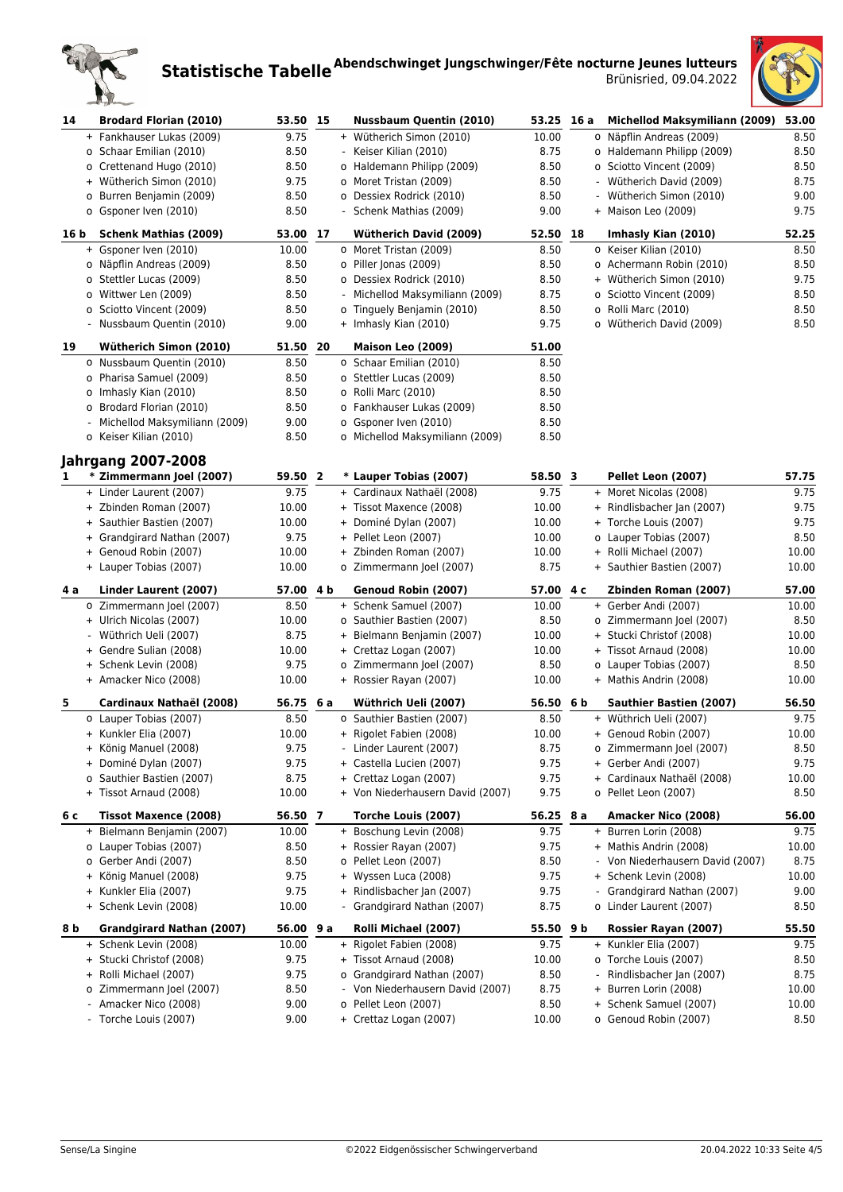



| 14   | <b>Brodard Florian (2010)</b>                             | 53.50 15  |                         | <b>Nussbaum Quentin (2010)</b>   | 53.25 | 16 a | Michellod Maksymiliann (2009)  | 53.00 |
|------|-----------------------------------------------------------|-----------|-------------------------|----------------------------------|-------|------|--------------------------------|-------|
|      | + Fankhauser Lukas (2009)                                 | 9.75      |                         | + Wütherich Simon (2010)         | 10.00 |      | o Näpflin Andreas (2009)       | 8.50  |
|      | o Schaar Emilian (2010)                                   | 8.50      |                         | - Keiser Kilian (2010)           | 8.75  |      | o Haldemann Philipp (2009)     | 8.50  |
|      | o Crettenand Hugo (2010)                                  | 8.50      |                         | o Haldemann Philipp (2009)       | 8.50  |      | o Sciotto Vincent (2009)       | 8.50  |
|      | + Wütherich Simon (2010)                                  | 9.75      |                         | o Moret Tristan (2009)           | 8.50  |      | - Wütherich David (2009)       | 8.75  |
|      | o Burren Benjamin (2009)                                  | 8.50      |                         | o Dessiex Rodrick (2010)         | 8.50  |      | Wütherich Simon (2010)         | 9.00  |
|      | o Gsponer Iven (2010)                                     | 8.50      |                         | - Schenk Mathias (2009)          | 9.00  |      | + Maison Leo (2009)            | 9.75  |
| 16 b | <b>Schenk Mathias (2009)</b>                              | 53.00     | 17                      | <b>Wütherich David (2009)</b>    | 52.50 | 18   | Imhasly Kian (2010)            | 52.25 |
|      | + Gsponer Iven (2010)                                     | 10.00     |                         | o Moret Tristan (2009)           | 8.50  |      | o Keiser Kilian (2010)         | 8.50  |
|      | o Näpflin Andreas (2009)                                  | 8.50      |                         | o Piller Jonas (2009)            | 8.50  |      | o Achermann Robin (2010)       | 8.50  |
|      | o Stettler Lucas (2009)                                   | 8.50      |                         | o Dessiex Rodrick (2010)         | 8.50  |      | + Wütherich Simon (2010)       | 9.75  |
|      | o Wittwer Len (2009)                                      | 8.50      |                         | - Michellod Maksymiliann (2009)  | 8.75  |      | o Sciotto Vincent (2009)       | 8.50  |
|      | o Sciotto Vincent (2009)                                  | 8.50      |                         | o Tinguely Benjamin (2010)       | 8.50  |      | o Rolli Marc (2010)            | 8.50  |
|      | - Nussbaum Quentin (2010)                                 | 9.00      |                         | + Imhasly Kian (2010)            | 9.75  |      | o Wütherich David (2009)       | 8.50  |
| 19   | Wütherich Simon (2010)                                    | 51.50 20  |                         | Maison Leo (2009)                | 51.00 |      |                                |       |
|      | o Nussbaum Quentin (2010)                                 | 8.50      |                         | o Schaar Emilian (2010)          | 8.50  |      |                                |       |
|      | o Pharisa Samuel (2009)                                   | 8.50      |                         | o Stettler Lucas (2009)          | 8.50  |      |                                |       |
|      | o Imhasly Kian (2010)                                     | 8.50      |                         | o Rolli Marc (2010)              | 8.50  |      |                                |       |
|      | o Brodard Florian (2010)                                  | 8.50      |                         | o Fankhauser Lukas (2009)        | 8.50  |      |                                |       |
|      | Michellod Maksymiliann (2009)<br>$\overline{\phantom{a}}$ | 9.00      |                         | o Gsponer Iven (2010)            | 8.50  |      |                                |       |
|      | o Keiser Kilian (2010)                                    | 8.50      |                         | o Michellod Maksymiliann (2009)  | 8.50  |      |                                |       |
|      | <b>Jahrgang 2007-2008</b>                                 |           |                         |                                  |       |      |                                |       |
| 1    | * Zimmermann Joel (2007)                                  | 59.50     | $\overline{\mathbf{2}}$ | * Lauper Tobias (2007)           | 58.50 | 3    | Pellet Leon (2007)             | 57.75 |
|      | + Linder Laurent (2007)                                   | 9.75      |                         | + Cardinaux Nathaël (2008)       | 9.75  |      | + Moret Nicolas (2008)         | 9.75  |
|      | + Zbinden Roman (2007)                                    | 10.00     |                         | + Tissot Maxence (2008)          | 10.00 |      | + Rindlisbacher Jan (2007)     | 9.75  |
|      | + Sauthier Bastien (2007)                                 | 10.00     |                         | + Dominé Dylan (2007)            | 10.00 |      | + Torche Louis (2007)          | 9.75  |
|      | + Grandgirard Nathan (2007)                               | 9.75      |                         | + Pellet Leon (2007)             | 10.00 |      | o Lauper Tobias (2007)         | 8.50  |
|      | + Genoud Robin (2007)                                     | 10.00     |                         | + Zbinden Roman (2007)           | 10.00 |      | + Rolli Michael (2007)         | 10.00 |
|      | + Lauper Tobias (2007)                                    | 10.00     |                         | o Zimmermann Joel (2007)         | 8.75  |      | + Sauthier Bastien (2007)      | 10.00 |
| 4а   | Linder Laurent (2007)                                     | 57.00 4 b |                         | Genoud Robin (2007)              | 57.00 | 4 с  | Zbinden Roman (2007)           | 57.00 |
|      | o Zimmermann Joel (2007)                                  | 8.50      |                         | + Schenk Samuel (2007)           | 10.00 |      | + Gerber Andi (2007)           | 10.00 |
|      | + Ulrich Nicolas (2007)                                   | 10.00     |                         | o Sauthier Bastien (2007)        | 8.50  |      | o Zimmermann Joel (2007)       | 8.50  |
|      | - Wüthrich Ueli (2007)                                    | 8.75      |                         | + Bielmann Benjamin (2007)       | 10.00 |      | + Stucki Christof (2008)       | 10.00 |
|      | + Gendre Sulian (2008)                                    | 10.00     |                         | + Crettaz Logan (2007)           | 10.00 |      | + Tissot Arnaud (2008)         | 10.00 |
|      | + Schenk Levin (2008)                                     | 9.75      |                         | o Zimmermann Joel (2007)         | 8.50  |      | o Lauper Tobias (2007)         | 8.50  |
|      | + Amacker Nico (2008)                                     | 10.00     |                         | + Rossier Rayan (2007)           | 10.00 |      | + Mathis Andrin (2008)         | 10.00 |
| 5    | Cardinaux Nathaël (2008)                                  | 56.75 6 a |                         | Wüthrich Ueli (2007)             | 56.50 | 6 b  | <b>Sauthier Bastien (2007)</b> | 56.50 |
|      | o Lauper Tobias (2007)                                    | 8.50      |                         | o Sauthier Bastien (2007)        | 8.50  |      | + Wüthrich Ueli (2007)         | 9.75  |
|      | + Kunkler Elia (2007)                                     | 10.00     |                         | + Rigolet Fabien (2008)          | 10.00 |      | + Genoud Robin (2007)          | 10.00 |
|      | + König Manuel (2008)                                     | 9.75      |                         | - Linder Laurent (2007)          | 8.75  |      | o Zimmermann Joel (2007)       | 8.50  |
|      | + Dominé Dylan (2007)                                     | 9.75      |                         | + Castella Lucien (2007)         | 9.75  |      | + Gerber Andi (2007)           | 9.75  |
|      | o Sauthier Bastien (2007)                                 | 8.75      |                         | + Crettaz Logan (2007)           | 9.75  |      | + Cardinaux Nathaël (2008)     | 10.00 |
|      | + Tissot Arnaud (2008)                                    | 10.00     |                         | + Von Niederhausern David (2007) | 9.75  |      | o Pellet Leon (2007)           | 8.50  |
| 6 с  | Tissot Maxence (2008)                                     | 56.50 7   |                         | Torche Louis (2007)              | 56.25 | 8 a  | Amacker Nico (2008)            | 56.00 |
|      | + Bielmann Benjamin (2007)                                | 10.00     |                         | + Boschung Levin (2008)          | 9.75  |      | + Burren Lorin (2008)          | 9.75  |
|      | o Lauper Tobias (2007)                                    | 8.50      |                         | + Rossier Rayan (2007)           | 9.75  |      | + Mathis Andrin (2008)         | 10.00 |
|      | o Gerber Andi (2007)                                      | 8.50      |                         | o Pellet Leon (2007)             | 8.50  |      | Von Niederhausern David (2007) | 8.75  |
|      | + König Manuel (2008)                                     | 9.75      |                         | + Wyssen Luca (2008)             | 9.75  |      | + Schenk Levin (2008)          | 10.00 |
|      | + Kunkler Elia (2007)                                     | 9.75      |                         | + Rindlisbacher Jan (2007)       | 9.75  |      | Grandgirard Nathan (2007)      | 9.00  |
|      | + Schenk Levin (2008)                                     | 10.00     |                         | - Grandgirard Nathan (2007)      | 8.75  |      | o Linder Laurent (2007)        | 8.50  |
| 8 b  | Grandgirard Nathan (2007)                                 | 56.00 9 a |                         | Rolli Michael (2007)             | 55.50 | 9 b  | Rossier Rayan (2007)           | 55.50 |
|      | + Schenk Levin (2008)                                     | 10.00     |                         | + Rigolet Fabien (2008)          | 9.75  |      | + Kunkler Elia (2007)          | 9.75  |
|      | + Stucki Christof (2008)                                  | 9.75      |                         | + Tissot Arnaud (2008)           | 10.00 |      | o Torche Louis (2007)          | 8.50  |
|      | + Rolli Michael (2007)                                    | 9.75      |                         | o Grandgirard Nathan (2007)      | 8.50  |      | Rindlisbacher Jan (2007)       | 8.75  |
|      | o Zimmermann Joel (2007)                                  | 8.50      |                         | - Von Niederhausern David (2007) | 8.75  |      | + Burren Lorin (2008)          | 10.00 |
|      | - Amacker Nico (2008)                                     | 9.00      |                         | o Pellet Leon (2007)             | 8.50  |      | + Schenk Samuel (2007)         | 10.00 |
|      | - Torche Louis (2007)                                     | 9.00      |                         | + Crettaz Logan (2007)           | 10.00 |      | o Genoud Robin (2007)          | 8.50  |